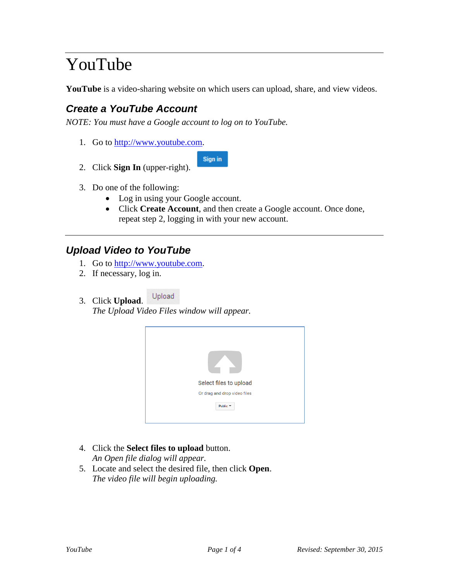# YouTube

**YouTube** is a video-sharing website on which users can upload, share, and view videos.

## *Create a YouTube Account*

*NOTE: You must have a Google account to log on to YouTube.*

1. Go to [http://www.youtube.com.](http://www.youtube.com/)



- 2. Click **Sign In** (upper-right).
- 3. Do one of the following:
	- Log in using your Google account.
	- Click **Create Account**, and then create a Google account. Once done, repeat step 2, logging in with your new account.

#### *Upload Video to YouTube*

- 1. Go to [http://www.youtube.com.](http://www.youtube.com/)
- 2. If necessary, log in.
- Upload 3. Click **Upload**.

*The Upload Video Files window will appear.*



- 4. Click the **Select files to upload** button. *An Open file dialog will appear.*
- 5. Locate and select the desired file, then click **Open**. *The video file will begin uploading.*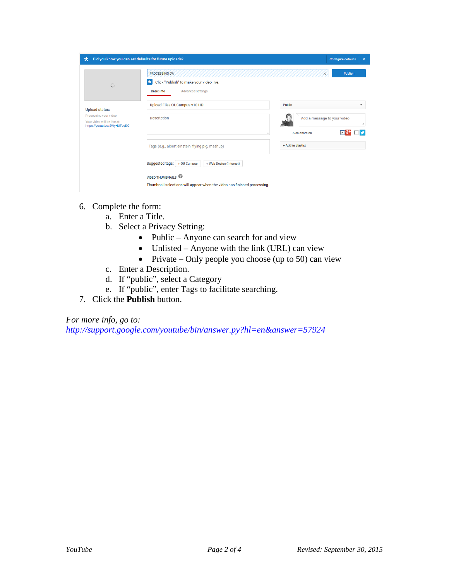| Did you know you can set defaults for future uploads?<br>$^\star$                     |                                                                                                                 | <b>Configure defaults</b><br>$\boldsymbol{\mathsf{x}}$  |
|---------------------------------------------------------------------------------------|-----------------------------------------------------------------------------------------------------------------|---------------------------------------------------------|
| G                                                                                     | PROCESSING 0%<br>Click "Publish" to make your video live.<br>ж<br><b>Advanced settings</b><br><b>Basic info</b> | <b>Publish</b><br>×                                     |
| <b>Upload status:</b>                                                                 | Upload Files OUCampus v10 HD                                                                                    | <b>Public</b><br>$\overline{\phantom{a}}$               |
| Processing your video.<br>Your video will be live at:<br>https://youtu.be/SWyHUFeqDGI | <b>Description</b>                                                                                              | Add a message to your video<br>Æ.<br>⊡<br>Also share on |
|                                                                                       | Tags (e.g., albert einstein, flying pig, mashup)                                                                | + Add to playlist                                       |
|                                                                                       | Suggested tags:<br>+ Web Design (Interest)<br>+ OU Campus                                                       |                                                         |
|                                                                                       | <b>VIDEO THUMBNAILS</b><br>Thumbnail selections will appear when the video has finished processing.             |                                                         |

- 6. Complete the form:
	- a. Enter a Title.
	- b. Select a Privacy Setting:
		- Public Anyone can search for and view
		- Unlisted Anyone with the link (URL) can view
		- Private Only people you choose (up to 50) can view
	- c. Enter a Description.
	- d. If "public", select a Category
	- e. If "public", enter Tags to facilitate searching.
- 7. Click the **Publish** button.

*For more info, go to:* 

*<http://support.google.com/youtube/bin/answer.py?hl=en&answer=57924>*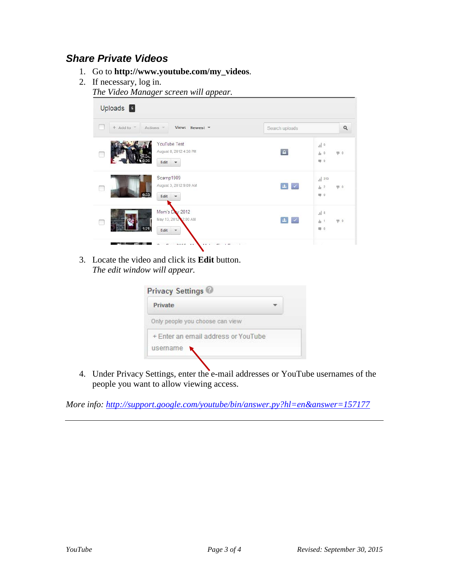#### *Share Private Videos*

- 1. Go to **http://www.youtube.com/my\_videos**.
- 2. If necessary, log in.

*The Video Manager screen will appear.*

| Uploads 5                                                                   |                                                                                                                                                                                                                                                                                                                                                                                                                                                                     |
|-----------------------------------------------------------------------------|---------------------------------------------------------------------------------------------------------------------------------------------------------------------------------------------------------------------------------------------------------------------------------------------------------------------------------------------------------------------------------------------------------------------------------------------------------------------|
| $+$ Add to $-$<br>View: Newest *<br>Actions =<br>œ                          | $\mathsf Q$<br>Search uploads                                                                                                                                                                                                                                                                                                                                                                                                                                       |
| YouTube Test<br>August 8, 2012 4:38 PM<br>Edit<br>$\mathbf{v}$              | $  $ 0<br>$\blacksquare$<br>$\Pi$ .0<br>山 0<br>甲 0                                                                                                                                                                                                                                                                                                                                                                                                                  |
| Scamp1989<br>August 3, 2012 9:09 AM<br>0:33<br>Edit<br>$\mathbf{v}$         | 319<br>$\begin{array}{c c c c} \mathbf{1} & \mathbf{1} & \mathbf{1} & \mathbf{1} \\ \mathbf{1} & \mathbf{1} & \mathbf{1} & \mathbf{1} \\ \mathbf{1} & \mathbf{1} & \mathbf{1} & \mathbf{1} \\ \mathbf{1} & \mathbf{1} & \mathbf{1} & \mathbf{1} \\ \mathbf{1} & \mathbf{1} & \mathbf{1} & \mathbf{1} \\ \mathbf{1} & \mathbf{1} & \mathbf{1} & \mathbf{1} \\ \mathbf{1} & \mathbf{1} & \mathbf{1} & \mathbf{1} \\ \mathbf{1} & \mathbf{$<br>$h^2$<br>$\Pi$ 0<br>甲 0 |
| Mom's Day 2012<br>May 13, 2012 2:00 AM<br>Г<br>1:21<br>Edit<br>$\mathbf{v}$ | $\  \cdot \ $ 8<br>$\begin{array}{ c c c }\hline \textbf{1} & \textbf{2} & \textbf{3} & \textbf{4} \\ \hline \end{array}$<br>$\Psi$ 0<br>h <sub>1</sub><br>中 0                                                                                                                                                                                                                                                                                                      |
| noor.<br>AA<br>$0.0 - 1. - 1.$                                              | s                                                                                                                                                                                                                                                                                                                                                                                                                                                                   |

3. Locate the video and click its **Edit** button. *The edit window will appear.*

| <b>Private</b>                      |  |
|-------------------------------------|--|
| Only people you choose can view     |  |
| + Enter an email address or YouTube |  |
| username                            |  |

4. Under Privacy Settings, enter the e-mail addresses or YouTube usernames of the people you want to allow viewing access.

*More info:<http://support.google.com/youtube/bin/answer.py?hl=en&answer=157177>*